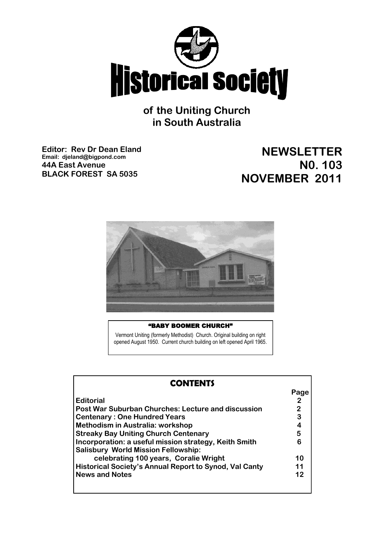

**of the Uniting Church in South Australia**

**Editor: Rev Dr Dean Eland Email: djeland@bigpond.com 44A East Avenue BLACK FOREST SA 5035**

# **NEWSLETTER N0. 103 NOVEMBER 2011**



## "BABY BOOMER CHURCH"

 Vermont Uniting (formerly Methodist) Church. Original building on right opened August 1950. Current church building on left opened April 1965.

| <b>CONTENTS</b>                                                                                                                                          |                          |
|----------------------------------------------------------------------------------------------------------------------------------------------------------|--------------------------|
| <b>Editorial</b><br><b>Post War Suburban Churches: Lecture and discussion</b><br><b>Centenary: One Hundred Years</b><br>Methodism in Australia: workshop | Page<br>2<br>2<br>3<br>4 |
| <b>Streaky Bay Uniting Church Centenary</b>                                                                                                              | 5                        |
| Incorporation: a useful mission strategy, Keith Smith<br><b>Salisbury World Mission Fellowship:</b>                                                      | 6                        |
| celebrating 100 years, Coralie Wright                                                                                                                    | 10                       |
| Historical Society's Annual Report to Synod, Val Canty                                                                                                   | 11                       |
| <b>News and Notes</b>                                                                                                                                    | 12                       |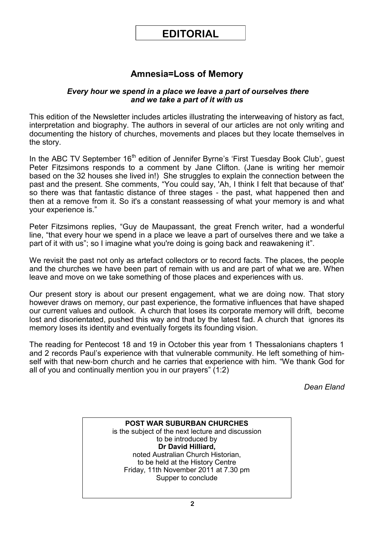# **EDITORIAL**

# **Amnesia=Loss of Memory**

## *Every hour we spend in a place we leave a part of ourselves there and we take a part of it with us*

This edition of the Newsletter includes articles illustrating the interweaving of history as fact, interpretation and biography. The authors in several of our articles are not only writing and documenting the history of churches, movements and places but they locate themselves in the story.

In the ABC TV September 16<sup>th</sup> edition of Jennifer Byrne's 'First Tuesday Book Club', guest Peter Fitzsimons responds to a comment by Jane Clifton. (Jane is writing her memoir based on the 32 houses she lived in!) She struggles to explain the connection between the past and the present. She comments, "You could say, 'Ah, I think I felt that because of that' so there was that fantastic distance of three stages - the past, what happened then and then at a remove from it. So it's a constant reassessing of what your memory is and what your experience is."

Peter Fitzsimons replies, "Guy de Maupassant, the great French writer, had a wonderful line, "that every hour we spend in a place we leave a part of ourselves there and we take a part of it with us"; so I imagine what you're doing is going back and reawakening it".

We revisit the past not only as artefact collectors or to record facts. The places, the people and the churches we have been part of remain with us and are part of what we are. When leave and move on we take something of those places and experiences with us.

Our present story is about our present engagement, what we are doing now. That story however draws on memory, our past experience, the formative influences that have shaped our current values and outlook. A church that loses its corporate memory will drift, become lost and disorientated, pushed this way and that by the latest fad. A church that ignores its memory loses its identity and eventually forgets its founding vision.

The reading for Pentecost 18 and 19 in October this year from 1 Thessalonians chapters 1 and 2 records Paul's experience with that vulnerable community. He left something of himself with that new-born church and he carries that experience with him. "We thank God for all of you and continually mention you in our prayers" (1:2)

*Dean Eland*

**POST WAR SUBURBAN CHURCHES** is the subject of the next lecture and discussion to be introduced by **Dr David Hilliard,** noted Australian Church Historian, to be held at the History Centre Friday, 11th November 2011 at 7.30 pm Supper to conclude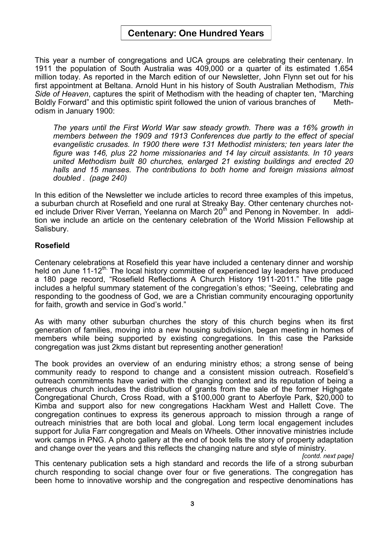# **Centenary: One Hundred Years**

This year a number of congregations and UCA groups are celebrating their centenary. In 1911 the population of South Australia was 409,000 or a quarter of its estimated 1.654 million today. As reported in the March edition of our Newsletter, John Flynn set out for his first appointment at Beltana. Arnold Hunt in his history of South Australian Methodism, *This Side of Heaven*, captures the spirit of Methodism with the heading of chapter ten, "Marching Boldly Forward" and this optimistic spirit followed the union of various branches of Methodism in January 1900:

*The years until the First World War saw steady growth. There was a 16% growth in members between the 1909 and 1913 Conferences due partly to the effect of special evangelistic crusades. In 1900 there were 131 Methodist ministers; ten years later the figure was 146, plus 22 home missionaries and 14 lay circuit assistants. In 10 years united Methodism built 80 churches, enlarged 21 existing buildings and erected 20 halls and 15 manses. The contributions to both home and foreign missions almost doubled . (page 240)* 

In this edition of the Newsletter we include articles to record three examples of this impetus, a suburban church at Rosefield and one rural at Streaky Bay. Other centenary churches noted include Driver River Verran, Yeelanna on March 20<sup>th</sup> and Penong in November. In addition we include an article on the centenary celebration of the World Mission Fellowship at Salisbury.

# **Rosefield**

Centenary celebrations at Rosefield this year have included a centenary dinner and worship held on June 11-12<sup>th.</sup> The local history committee of experienced lay leaders have produced a 180 page record, "Rosefield Reflections A Church History 1911-2011." The title page includes a helpful summary statement of the congregation's ethos; "Seeing, celebrating and responding to the goodness of God, we are a Christian community encouraging opportunity for faith, growth and service in God's world."

As with many other suburban churches the story of this church begins when its first generation of families, moving into a new housing subdivision, began meeting in homes of members while being supported by existing congregations. In this case the Parkside congregation was just 2kms distant but representing another generation!

The book provides an overview of an enduring ministry ethos; a strong sense of being community ready to respond to change and a consistent mission outreach. Rosefield's outreach commitments have varied with the changing context and its reputation of being a generous church includes the distribution of grants from the sale of the former Highgate Congregational Church, Cross Road, with a \$100,000 grant to Aberfoyle Park, \$20,000 to Kimba and support also for new congregations Hackham West and Hallett Cove. The congregation continues to express its generous approach to mission through a range of outreach ministries that are both local and global. Long term local engagement includes support for Julia Farr congregation and Meals on Wheels. Other innovative ministries include work camps in PNG. A photo gallery at the end of book tells the story of property adaptation and change over the years and this reflects the changing nature and style of ministry.

*[contd. next page]*

This centenary publication sets a high standard and records the life of a strong suburban church responding to social change over four or five generations. The congregation has been home to innovative worship and the congregation and respective denominations has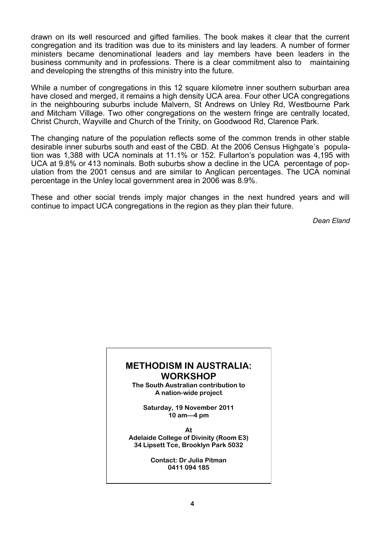drawn on its well resourced and gifted families. The book makes it clear that the current congregation and its tradition was due to its ministers and lay leaders. A number of former ministers became denominational leaders and lay members have been leaders in the business community and in professions. There is a clear commitment also to maintaining and developing the strengths of this ministry into the future.

While a number of congregations in this 12 square kilometre inner southern suburban area have closed and merged, it remains a high density UCA area. Four other UCA congregations in the neighbouring suburbs include Malvern, St Andrews on Unley Rd, Westbourne Park and Mitcham Village. Two other congregations on the western fringe are centrally located, Christ Church, Wayville and Church of the Trinity, on Goodwood Rd, Clarence Park.

The changing nature of the population reflects some of the common trends in other stable desirable inner suburbs south and east of the CBD. At the 2006 Census Highgate's population was 1,388 with UCA nominals at 11.1% or 152. Fullarton's population was 4,195 with UCA at 9.8% or 413 nominals. Both suburbs show a decline in the UCA percentage of population from the 2001 census and are similar to Anglican percentages. The UCA nominal percentage in the Unley local government area in 2006 was 8.9%.

These and other social trends imply major changes in the next hundred years and will continue to impact UCA congregations in the region as they plan their future.

*Dean Eland*

# **METHODISM IN AUSTRALIA: WORKSHOP**

**The South Australian contribution to A nation-wide project**

**Saturday, 19 November 2011 10 am—4 pm**

**At Adelaide College of Divinity (Room E3) 34 Lipsett Tce, Brooklyn Park 5032**

> **Contact: Dr Julia Pitman 0411 094 185**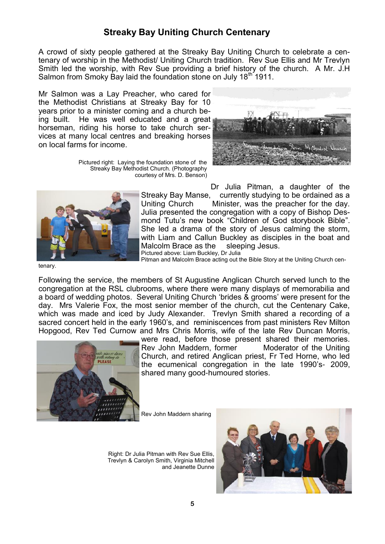# **Streaky Bay Uniting Church Centenary**

A crowd of sixty people gathered at the Streaky Bay Uniting Church to celebrate a centenary of worship in the Methodist/ Uniting Church tradition. Rev Sue Ellis and Mr Trevlyn Smith led the worship, with Rev Sue providing a brief history of the church. A Mr. J.H Salmon from Smoky Bay laid the foundation stone on July 18<sup>th 1911</sup>.

Mr Salmon was a Lay Preacher, who cared for the Methodist Christians at Streaky Bay for 10 years prior to a minister coming and a church being built. He was well educated and a great horseman, riding his horse to take church services at many local centres and breaking horses on local farms for income.

> Pictured right: Laying the foundation stone of the Streaky Bay Methodist Church. (Photography courtesy of Mrs. D. Benson)





Dr Julia Pitman, a daughter of the Streaky Bay Manse, currently studying to be ordained as a Uniting Church Minister, was the preacher for the day. Julia presented the congregation with a copy of Bishop Desmond Tutu's new book "Children of God storybook Bible". She led a drama of the story of Jesus calming the storm, with Liam and Callun Buckley as disciples in the boat and Malcolm Brace as the sleeping Jesus. Pictured above: Liam Buckley, Dr Julia Pitman and Malcolm Brace acting out the Bible Story at the Uniting Church cen-

tenary.

Following the service, the members of St Augustine Anglican Church served lunch to the congregation at the RSL clubrooms, where there were many displays of memorabilia and a board of wedding photos. Several Uniting Church 'brides & grooms' were present for the day. Mrs Valerie Fox, the most senior member of the church, cut the Centenary Cake, which was made and iced by Judy Alexander. Trevlyn Smith shared a recording of a sacred concert held in the early 1960's, and reminiscences from past ministers Rev Milton Hopgood, Rev Ted Curnow and Mrs Chris Morris, wife of the late Rev Duncan Morris,



were read, before those present shared their memories. Rev John Maddern, former Moderator of the Uniting Church, and retired Anglican priest, Fr Ted Horne, who led the ecumenical congregation in the late 1990's- 2009, shared many good-humoured stories.

Rev John Maddern sharing

Right: Dr Julia Pitman with Rev Sue Ellis, Trevlyn & Carolyn Smith, Virginia Mitchell and Jeanette Dunne

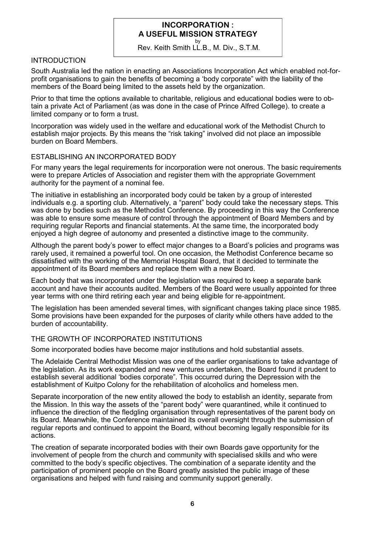# **INCORPORATION : A USEFUL MISSION STRATEGY**

by Rev. Keith Smith LL.B., M. Div., S.T.M.

## **INTRODUCTION**

South Australia led the nation in enacting an Associations Incorporation Act which enabled not-forprofit organisations to gain the benefits of becoming a 'body corporate" with the liability of the members of the Board being limited to the assets held by the organization.

Prior to that time the options available to charitable, religious and educational bodies were to obtain a private Act of Parliament (as was done in the case of Prince Alfred College). to create a limited company or to form a trust.

Incorporation was widely used in the welfare and educational work of the Methodist Church to establish major projects. By this means the "risk taking" involved did not place an impossible burden on Board Members.

### ESTABLISHING AN INCORPORATED BODY

For many years the legal requirements for incorporation were not onerous. The basic requirements were to prepare Articles of Association and register them with the appropriate Government authority for the payment of a nominal fee.

The initiative in establishing an incorporated body could be taken by a group of interested individuals e.g. a sporting club. Alternatively, a "parent" body could take the necessary steps. This was done by bodies such as the Methodist Conference. By proceeding in this way the Conference was able to ensure some measure of control through the appointment of Board Members and by requiring regular Reports and financial statements. At the same time, the incorporated body enjoyed a high degree of autonomy and presented a distinctive image to the community.

Although the parent body's power to effect major changes to a Board's policies and programs was rarely used, it remained a powerful tool. On one occasion, the Methodist Conference became so dissatisfied with the working of the Memorial Hospital Board, that it decided to terminate the appointment of its Board members and replace them with a new Board.

Each body that was incorporated under the legislation was required to keep a separate bank account and have their accounts audited. Members of the Board were usually appointed for three year terms with one third retiring each year and being eligible for re-appointment.

The legislation has been amended several times, with significant changes taking place since 1985. Some provisions have been expanded for the purposes of clarity while others have added to the burden of accountability.

### THE GROWTH OF INCORPORATED INSTITUTIONS

Some incorporated bodies have become major institutions and hold substantial assets.

The Adelaide Central Methodist Mission was one of the earlier organisations to take advantage of the legislation. As its work expanded and new ventures undertaken, the Board found it prudent to establish several additional 'bodies corporate". This occurred during the Depression with the establishment of Kuitpo Colony for the rehabilitation of alcoholics and homeless men.

Separate incorporation of the new entity allowed the body to establish an identity, separate from the Mission. In this way the assets of the "parent body" were quarantined, while it continued to influence the direction of the fledgling organisation through representatives of the parent body on its Board. Meanwhile, the Conference maintained its overall oversight through the submission of regular reports and continued to appoint the Board, without becoming legally responsible for its actions.

The creation of separate incorporated bodies with their own Boards gave opportunity for the involvement of people from the church and community with specialised skills and who were committed to the body's specific objectives. The combination of a separate identity and the participation of prominent people on the Board greatly assisted the public image of these organisations and helped with fund raising and community support generally.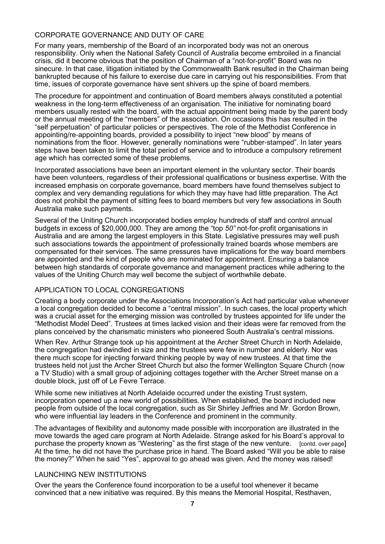## CORPORATE GOVERNANCE AND DUTY OF CARE

For many years, membership of the Board of an incorporated body was not an onerous responsibility. Only when the National Safety Council of Australia become embroiled in a financial crisis, did it become obvious that the position of Chairman of a "not-for-profit" Board was no sinecure. In that case, litigation initiated by the Commonwealth Bank resulted in the Chairman being bankrupted because of his failure to exercise due care in carrying out his responsibilities. From that time, issues of corporate governance have sent shivers up the spine of board members.

The procedure for appointment and continuation of Board members always constituted a potential weakness in the long-term effectiveness of an organisation. The initiative for nominating board members usually rested with the board, with the actual appointment being made by the parent body or the annual meeting of the "members" of the association. On occasions this has resulted in the "self perpetuation" of particular policies or perspectives. The role of the Methodist Conference in appointing/re-appointing boards, provided a possibility to inject "new blood" by means of nominations from the floor. However, generally nominations were "rubber-stamped". In later years steps have been taken to limit the total period of service and to introduce a compulsory retirement age which has corrected some of these problems.

Incorporated associations have been an important element in the voluntary sector. Their boards have been volunteers, regardless of their professional qualifications or business expertise. With the increased emphasis on corporate governance, board members have found themselves subject to complex and very demanding regulations for which they may have had little preparation. The Act does not prohibit the payment of sitting fees to board members but very few associations in South Australia make such payments.

Several of the Uniting Church incorporated bodies employ hundreds of staff and control annual budgets in excess of \$20,000,000. They are among the "top *50"* not-for-profit organisations in Australia and are among the largest employers in this State. Legislative pressures may well push such associations towards the appointment of professionally trained boards whose members are compensated for their services. The same pressures have implications for the way board members are appointed and the kind of people who are nominated for appointment. Ensuring a balance between high standards of corporate governance and management practices while adhering to the values of the Uniting Church may well become the subject of worthwhile debate.

### APPLICATION TO LOCAL CONGREGATIONS

Creating a body corporate under the Associations Incorporation's Act had particular value whenever a local congregation decided to become a "central mission". In such cases, the local property which was a crucial asset for the emerging mission was controlled by trustees appointed for life under the "Methodist Model Deed". Trustees at times lacked vision and their ideas were far removed from the plans conceived by the charismatic ministers who pioneered South Australia's central missions.

When Rev. Arthur Strange took up his appointment at the Archer Street Church in North Adelaide, the congregation had dwindled in size and the trustees were few in number and elderly. Nor was there much scope for injecting forward thinking people by way of new trustees. At that time the trustees held not just the Archer Street Church but also the former Wellington Square Church (now a TV Studio) with a small group of adjoining cottages together with the Archer Street manse on a double block, just off of Le Fevre Terrace.

While some new initiatives at North Adelaide occurred under the existing Trust system, incorporation opened up a new world of possibilities. When established, the board included new people from outside of the local congregation, such as Sir Shirley Jeffries and Mr. Gordon Brown, who were influential lay leaders in the Conference and prominent in the community.

The advantages of flexibility and autonomy made possible with incorporation are illustrated in the move towards the aged care program at North Adelaide. Strange asked for his Board's approval to purchase the property known as "Westering" as the first stage of the new venture. [contd. over page] At the time, he did not have the purchase price in hand. The Board asked "Will you be able to raise the money?" When he said "Yes", approval to go ahead was given. And the money was raised!

#### LAUNCHING NEW INSTITUTIONS

Over the years the Conference found incorporation to be a useful tool whenever it became convinced that a new initiative was required. By this means the Memorial Hospital, Resthaven,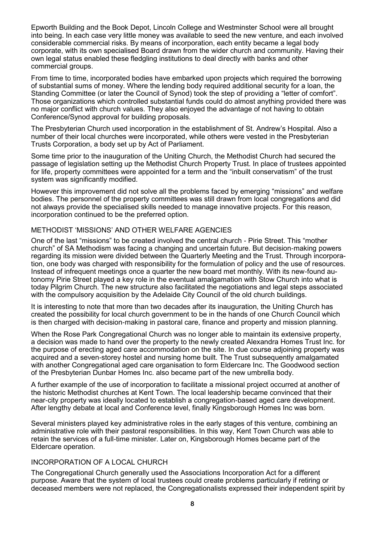Epworth Building and the Book Depot, Lincoln College and Westminster School were all brought into being. In each case very little money was available to seed the new venture, and each involved considerable commercial risks. By means of incorporation, each entity became a legal body corporate, with its own specialised Board drawn from the wider church and community. Having their own legal status enabled these fledgling institutions to deal directly with banks and other commercial groups.

From time to time, incorporated bodies have embarked upon projects which required the borrowing of substantial sums of money. Where the lending body required additional security for a loan, the Standing Committee (or later the Council of Synod) took the step of providing a "letter of comfort". Those organizations which controlled substantial funds could do almost anything provided there was no major conflict with church values. They also enjoyed the advantage of not having to obtain Conference/Synod approval for building proposals.

The Presbyterian Church used incorporation in the establishment of St. Andrew's Hospital. Also a number of their local churches were incorporated, while others were vested in the Presbyterian Trusts Corporation, a body set up by Act of Parliament.

Some time prior to the inauguration of the Uniting Church, the Methodist Church had secured the passage of legislation setting up the Methodist Church Property Trust. In place of trustees appointed for life, property committees were appointed for a term and the "inbuilt conservatism" of the trust system was significantly modified.

However this improvement did not solve all the problems faced by emerging "missions" and welfare bodies. The personnel of the property committees was still drawn from local congregations and did not always provide the specialised skills needed to manage innovative projects. For this reason, incorporation continued to be the preferred option.

#### METHODIST 'MISSIONS' AND OTHER WELFARE AGENCIES

One of the last "missions" to be created involved the central church - Pirie Street. This "mother church" of SA Methodism was facing a changing and uncertain future. But decision-making powers regarding its mission were divided between the Quarterly Meeting and the Trust. Through incorporation, one body was charged with responsibility for the formulation of policy and the use of resources. Instead of infrequent meetings once a quarter the new board met monthly. With its new-found autonomy Pirie Street played a key role in the eventual amalgamation with Stow Church into what is today Pilgrim Church. The new structure also facilitated the negotiations and legal steps associated with the compulsory acquisition by the Adelaide City Council of the old church buildings.

It is interesting to note that more than two decades after its inauguration, the Uniting Church has created the possibility for local church government to be in the hands of one Church Council which is then charged with decision-making in pastoral care, finance and property and mission planning.

When the Rose Park Congregational Church was no longer able to maintain its extensive property, a decision was made to hand over the property to the newly created Alexandra Homes Trust Inc. for the purpose of erecting aged care accommodation on the site. In due course adjoining property was acquired and a seven-storey hostel and nursing home built. The Trust subsequently amalgamated with another Congregational aged care organisation to form Eldercare Inc. The Goodwood section of the Presbyterian Dunbar Homes Inc. also became part of the new umbrella body.

A further example of the use of incorporation to facilitate a missional project occurred at another of the historic Methodist churches at Kent Town. The local leadership became convinced that their near-city property was ideally located to establish a congregation-based aged care development. After lengthy debate at local and Conference level, finally Kingsborough Homes Inc was born.

Several ministers played key administrative roles in the early stages of this venture, combining an administrative role with their pastoral responsibilities. In this way, Kent Town Church was able to retain the services of a full-time minister. Later on, Kingsborough Homes became part of the Eldercare operation.

### INCORPORATION OF A LOCAL CHURCH

The Congregational Church generally used the Associations Incorporation Act for a different purpose. Aware that the system of local trustees could create problems particularly if retiring or deceased members were not replaced, the Congregationalists expressed their independent spirit by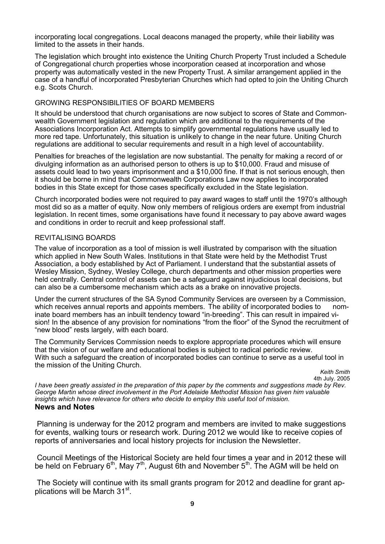incorporating local congregations. Local deacons managed the property, while their liability was limited to the assets in their hands.

The legislation which brought into existence the Uniting Church Property Trust included a Schedule of Congregational church properties whose incorporation ceased at incorporation and whose property was automatically vested in the new Property Trust. A similar arrangement applied in the case of a handful of incorporated Presbyterian Churches which had opted to join the Uniting Church e.g. Scots Church.

#### GROWING RESPONSIBILITIES OF BOARD MEMBERS

It should be understood that church organisations are now subject to scores of State and Commonwealth Government legislation and regulation which are additional to the requirements of the Associations Incorporation Act. Attempts to simplify governmental regulations have usually led to more red tape. Unfortunately, this situation is unlikely to change in the near future. Uniting Church regulations are additional to secular requirements and result in a high level of accountability.

Penalties for breaches of the legislation are now substantial. The penalty for making a record of or divulging information as an authorised person to others is up to \$10,000. Fraud and misuse of assets could lead to two years imprisonment and a \$10,000 fine. If that is not serious enough, then it should be borne in mind that Commonwealth Corporations Law now applies to incorporated bodies in this State except for those cases specifically excluded in the State legislation.

Church incorporated bodies were not required to pay award wages to staff until the 1970's although most did so as a matter of equity. Now only members of religious orders are exempt from industrial legislation. In recent times, some organisations have found it necessary to pay above award wages and conditions in order to recruit and keep professional staff.

#### REVITALISING BOARDS

The value of incorporation as a tool of mission is well illustrated by comparison with the situation which applied in New South Wales. Institutions in that State were held by the Methodist Trust Association, a body established by Act of Parliament. I understand that the substantial assets of Wesley Mission, Sydney, Wesley College, church departments and other mission properties were held centrally. Central control of assets can be a safeguard against injudicious local decisions, but can also be a cumbersome mechanism which acts as a brake on innovative projects.

Under the current structures of the SA Synod Community Services are overseen by a Commission, which receives annual reports and appoints members. The ability of incorporated bodies to inate board members has an inbuilt tendency toward "in-breeding". This can result in impaired vision! In the absence of any provision for nominations "from the floor" of the Synod the recruitment of "new blood" rests largely, with each board.

The Community Services Commission needs to explore appropriate procedures which will ensure that the vision of our welfare and educational bodies is subject to radical periodic review. With such a safeguard the creation of incorporated bodies can continue to serve as a useful tool in the mission of the Uniting Church.

*Keith Smith*  4th July. 2005

*I have been greatly assisted in the preparation of this paper by the comments and suggestions made by Rev. George Martin whose direct involvement in the Port Adelaide Methodist Mission has given him valuable insights which have relevance for others who decide to employ this useful tool of mission.*  **News and Notes** 

Planning is underway for the 2012 program and members are invited to make suggestions for events, walking tours or research work. During 2012 we would like to receive copies of reports of anniversaries and local history projects for inclusion the Newsletter.

Council Meetings of the Historical Society are held four times a year and in 2012 these will be held on February  $6<sup>th</sup>$ , May  $7<sup>th</sup>$ , August 6th and November  $5<sup>th</sup>$ . The AGM will be held on

The Society will continue with its small grants program for 2012 and deadline for grant applications will be March 31<sup>st</sup>.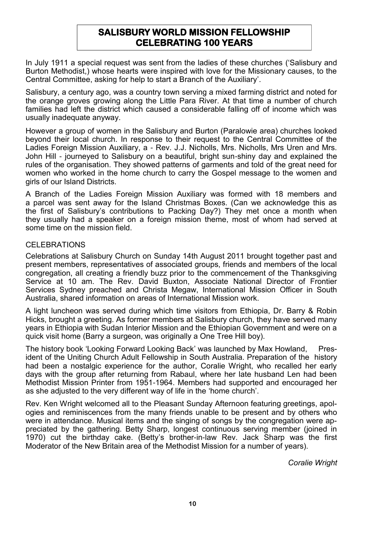# **SALISBURY WORLD MISSION FELLOWSHIP CELEBRATING 100 YEARS**

In July 1911 a special request was sent from the ladies of these churches ('Salisbury and Burton Methodist,) whose hearts were inspired with love for the Missionary causes, to the Central Committee, asking for help to start a Branch of the Auxiliary'.

Salisbury, a century ago, was a country town serving a mixed farming district and noted for the orange groves growing along the Little Para River. At that time a number of church families had left the district which caused a considerable falling off of income which was usually inadequate anyway.

However a group of women in the Salisbury and Burton (Paralowie area) churches looked beyond their local church. In response to their request to the Central Committee of the Ladies Foreign Mission Auxiliary, a - Rev. J.J. Nicholls, Mrs. Nicholls, Mrs Uren and Mrs. John Hill - journeyed to Salisbury on a beautiful, bright sun-shiny day and explained the rules of the organisation. They showed patterns of garments and told of the great need for women who worked in the home church to carry the Gospel message to the women and girls of our Island Districts.

A Branch of the Ladies Foreign Mission Auxiliary was formed with 18 members and a parcel was sent away for the Island Christmas Boxes. (Can we acknowledge this as the first of Salisbury's contributions to Packing Day?) They met once a month when they usually had a speaker on a foreign mission theme, most of whom had served at some time on the mission field.

# CELEBRATIONS

Celebrations at Salisbury Church on Sunday 14th August 2011 brought together past and present members, representatives of associated groups, friends and members of the local congregation, all creating a friendly buzz prior to the commencement of the Thanksgiving Service at 10 am. The Rev. David Buxton, Associate National Director of Frontier Services Sydney preached and Christa Megaw, International Mission Officer in South Australia, shared information on areas of International Mission work.

A light luncheon was served during which time visitors from Ethiopia, Dr. Barry & Robin Hicks, brought a greeting. As former members at Salisbury church, they have served many years in Ethiopia with Sudan Interior Mission and the Ethiopian Government and were on a quick visit home (Barry a surgeon, was originally a One Tree Hill boy).

The history book 'Looking Forward Looking Back' was launched by Max Howland, President of the Uniting Church Adult Fellowship in South Australia. Preparation of the history had been a nostalgic experience for the author, Coralie Wright, who recalled her early days with the group after returning from Rabaul, where her late husband Len had been Methodist Mission Printer from 1951-1964. Members had supported and encouraged her as she adjusted to the very different way of life in the 'home church'.

Rev. Ken Wright welcomed all to the Pleasant Sunday Afternoon featuring greetings, apologies and reminiscences from the many friends unable to be present and by others who were in attendance. Musical items and the singing of songs by the congregation were appreciated by the gathering. Betty Sharp, longest continuous serving member (joined in 1970) cut the birthday cake. (Betty's brother-in-law Rev. Jack Sharp was the first Moderator of the New Britain area of the Methodist Mission for a number of years).

*Coralie Wright*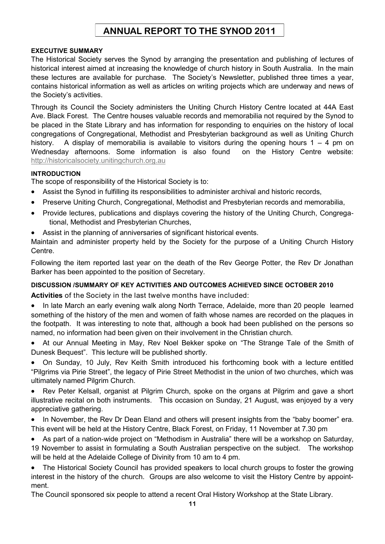# **ANNUAL REPORT TO THE SYNOD 2011**

### **EXECUTIVE SUMMARY**

The Historical Society serves the Synod by arranging the presentation and publishing of lectures of historical interest aimed at increasing the knowledge of church history in South Australia. In the main these lectures are available for purchase. The Society's Newsletter, published three times a year, contains historical information as well as articles on writing projects which are underway and news of the Society's activities.

Through its Council the Society administers the Uniting Church History Centre located at 44A East Ave. Black Forest. The Centre houses valuable records and memorabilia not required by the Synod to be placed in the State Library and has information for responding to enquiries on the history of local congregations of Congregational, Methodist and Presbyterian background as well as Uniting Church history. A display of memorabilia is available to visitors during the opening hours  $1 - 4$  pm on Wednesday afternoons. Some information is also found on the History Centre website: [http://historicalsociety.unitingchurch.org.au](http://historicalsociety.unitingchurch.org.au/)

### **INTRODUCTION**

The scope of responsibility of the Historical Society is to:

- Assist the Synod in fulfilling its responsibilities to administer archival and historic records,
- Preserve Uniting Church, Congregational, Methodist and Presbyterian records and memorabilia,
- Provide lectures, publications and displays covering the history of the Uniting Church, Congregational, Methodist and Presbyterian Churches,
- Assist in the planning of anniversaries of significant historical events.

Maintain and administer property held by the Society for the purpose of a Uniting Church History Centre.

Following the item reported last year on the death of the Rev George Potter, the Rev Dr Jonathan Barker has been appointed to the position of Secretary.

### **DISCUSSION /SUMMARY OF KEY ACTIVITIES AND OUTCOMES ACHIEVED SINCE OCTOBER 2010**

**Activities** of the Society in the last twelve months have included:

- In late March an early evening walk along North Terrace, Adelaide, more than 20 people learned something of the history of the men and women of faith whose names are recorded on the plaques in the footpath. It was interesting to note that, although a book had been published on the persons so named, no information had been given on their involvement in the Christian church.
- At our Annual Meeting in May, Rev Noel Bekker spoke on "The Strange Tale of the Smith of Dunesk Bequest". This lecture will be published shortly.

 On Sunday, 10 July, Rev Keith Smith introduced his forthcoming book with a lecture entitled "Pilgrims via Pirie Street", the legacy of Pirie Street Methodist in the union of two churches, which was ultimately named Pilgrim Church.

 Rev Peter Kelsall, organist at Pilgrim Church, spoke on the organs at Pilgrim and gave a short illustrative recital on both instruments. This occasion on Sunday, 21 August, was enjoyed by a very appreciative gathering.

• In November, the Rev Dr Dean Eland and others will present insights from the "baby boomer" era. This event will be held at the History Centre, Black Forest, on Friday, 11 November at 7.30 pm

 As part of a nation-wide project on "Methodism in Australia" there will be a workshop on Saturday, 19 November to assist in formulating a South Australian perspective on the subject. The workshop will be held at the Adelaide College of Divinity from 10 am to 4 pm.

 The Historical Society Council has provided speakers to local church groups to foster the growing interest in the history of the church. Groups are also welcome to visit the History Centre by appointment.

The Council sponsored six people to attend a recent Oral History Workshop at the State Library.